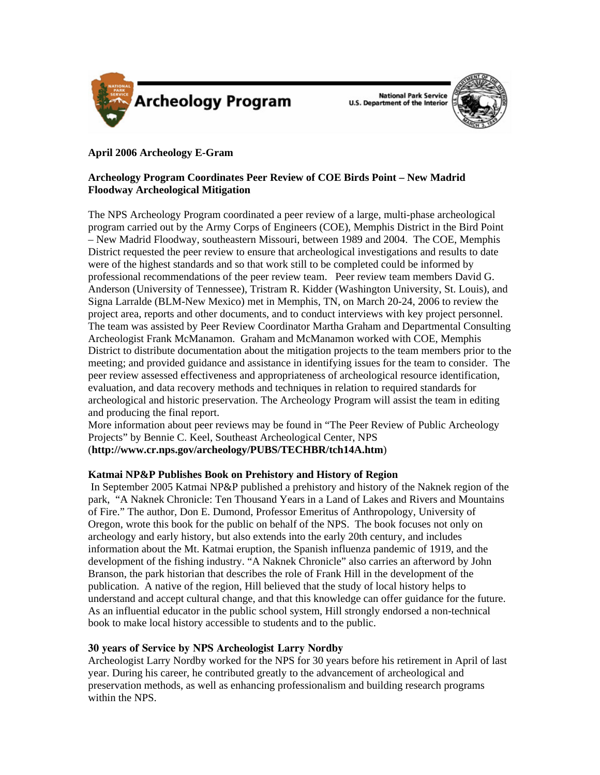

**National Park Service U.S. Department of the Interior** 



# **April 2006 Archeology E-Gram**

## **Archeology Program Coordinates Peer Review of COE Birds Point – New Madrid Floodway Archeological Mitigation**

The NPS Archeology Program coordinated a peer review of a large, multi-phase archeological program carried out by the Army Corps of Engineers (COE), Memphis District in the Bird Point – New Madrid Floodway, southeastern Missouri, between 1989 and 2004. The COE, Memphis District requested the peer review to ensure that archeological investigations and results to date were of the highest standards and so that work still to be completed could be informed by professional recommendations of the peer review team. Peer review team members David G. Anderson (University of Tennessee), Tristram R. Kidder (Washington University, St. Louis), and Signa Larralde (BLM-New Mexico) met in Memphis, TN, on March 20-24, 2006 to review the project area, reports and other documents, and to conduct interviews with key project personnel. The team was assisted by Peer Review Coordinator Martha Graham and Departmental Consulting Archeologist Frank McManamon. Graham and McManamon worked with COE, Memphis District to distribute documentation about the mitigation projects to the team members prior to the meeting; and provided guidance and assistance in identifying issues for the team to consider. The peer review assessed effectiveness and appropriateness of archeological resource identification, evaluation, and data recovery methods and techniques in relation to required standards for archeological and historic preservation. The Archeology Program will assist the team in editing and producing the final report.

More information about peer reviews may be found in "The Peer Review of Public Archeology Projects" by Bennie C. Keel, Southeast Archeological Center, NPS (**<http://www.cr.nps.gov/archeology/PUBS/TECHBR/tch14A.htm>**)

## **Katmai NP&P Publishes Book on Prehistory and History of Region**

 In September 2005 Katmai NP&P published a prehistory and history of the Naknek region of the park, "A Naknek Chronicle: Ten Thousand Years in a Land of Lakes and Rivers and Mountains of Fire." The author, Don E. Dumond, Professor Emeritus of Anthropology, University of Oregon, wrote this book for the public on behalf of the NPS. The book focuses not only on archeology and early history, but also extends into the early 20th century, and includes information about the Mt. Katmai eruption, the Spanish influenza pandemic of 1919, and the development of the fishing industry. "A Naknek Chronicle" also carries an afterword by John Branson, the park historian that describes the role of Frank Hill in the development of the publication. A native of the region, Hill believed that the study of local history helps to understand and accept cultural change, and that this knowledge can offer guidance for the future. As an influential educator in the public school system, Hill strongly endorsed a non-technical book to make local history accessible to students and to the public.

## **30 years of Service by NPS Archeologist Larry Nordby**

Archeologist Larry Nordby worked for the NPS for 30 years before his retirement in April of last year. During his career, he contributed greatly to the advancement of archeological and preservation methods, as well as enhancing professionalism and building research programs within the NPS.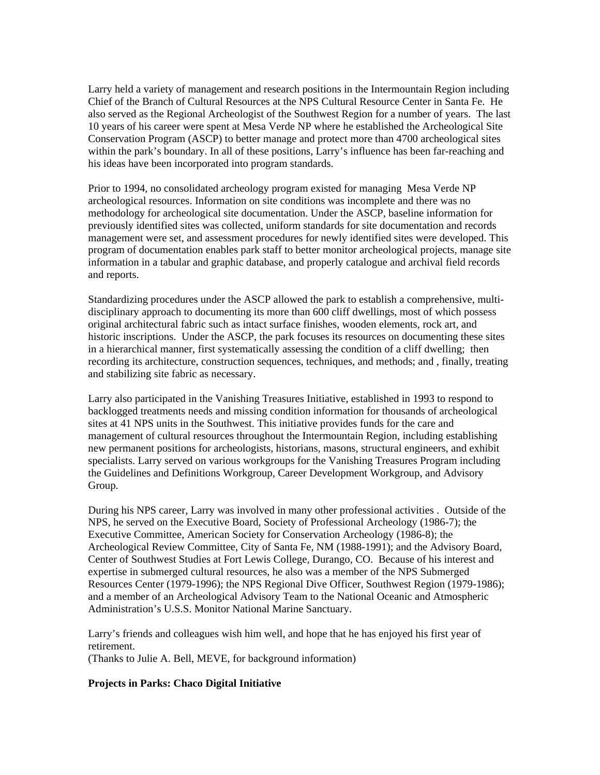Larry held a variety of management and research positions in the Intermountain Region including Chief of the Branch of Cultural Resources at the NPS Cultural Resource Center in Santa Fe. He also served as the Regional Archeologist of the Southwest Region for a number of years. The last 10 years of his career were spent at Mesa Verde NP where he established the Archeological Site Conservation Program (ASCP) to better manage and protect more than 4700 archeological sites within the park's boundary. In all of these positions, Larry's influence has been far-reaching and his ideas have been incorporated into program standards.

Prior to 1994, no consolidated archeology program existed for managing Mesa Verde NP archeological resources. Information on site conditions was incomplete and there was no methodology for archeological site documentation. Under the ASCP, baseline information for previously identified sites was collected, uniform standards for site documentation and records management were set, and assessment procedures for newly identified sites were developed. This program of documentation enables park staff to better monitor archeological projects, manage site information in a tabular and graphic database, and properly catalogue and archival field records and reports.

Standardizing procedures under the ASCP allowed the park to establish a comprehensive, multidisciplinary approach to documenting its more than 600 cliff dwellings, most of which possess original architectural fabric such as intact surface finishes, wooden elements, rock art, and historic inscriptions. Under the ASCP, the park focuses its resources on documenting these sites in a hierarchical manner, first systematically assessing the condition of a cliff dwelling; then recording its architecture, construction sequences, techniques, and methods; and , finally, treating and stabilizing site fabric as necessary.

Larry also participated in the Vanishing Treasures Initiative, established in 1993 to respond to backlogged treatments needs and missing condition information for thousands of archeological sites at 41 NPS units in the Southwest. This initiative provides funds for the care and management of cultural resources throughout the Intermountain Region, including establishing new permanent positions for archeologists, historians, masons, structural engineers, and exhibit specialists. Larry served on various workgroups for the Vanishing Treasures Program including the Guidelines and Definitions Workgroup, Career Development Workgroup, and Advisory Group.

During his NPS career, Larry was involved in many other professional activities . Outside of the NPS, he served on the Executive Board, Society of Professional Archeology (1986-7); the Executive Committee, American Society for Conservation Archeology (1986-8); the Archeological Review Committee, City of Santa Fe, NM (1988-1991); and the Advisory Board, Center of Southwest Studies at Fort Lewis College, Durango, CO. Because of his interest and expertise in submerged cultural resources, he also was a member of the NPS Submerged Resources Center (1979-1996); the NPS Regional Dive Officer, Southwest Region (1979-1986); and a member of an Archeological Advisory Team to the National Oceanic and Atmospheric Administration's U.S.S. Monitor National Marine Sanctuary.

Larry's friends and colleagues wish him well, and hope that he has enjoyed his first year of retirement. (Thanks to Julie A. Bell, MEVE, for background information)

#### **Projects in Parks: Chaco Digital Initiative**